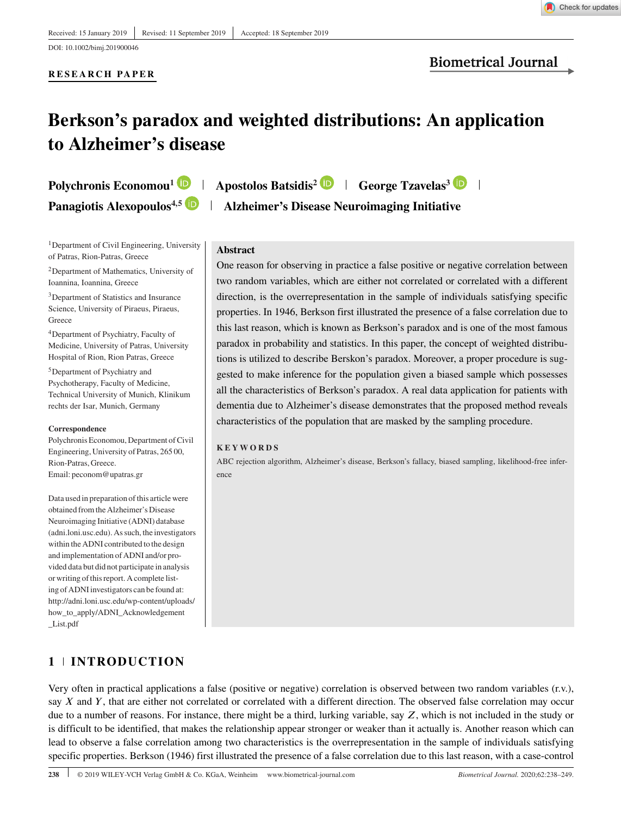**RESEARCH PAPER**

# **Berkson's paradox and weighted distributions: An application to Alzheimer's disease**

**Polychronis Economou<sup>1</sup> <b>D** | Apostolos Batsidis<sup>2</sup> **D** | George Tzavelas<sup>3</sup> **D** |

**Panagiotis Alexopoulos<sup>4,5</sup> <b>D** | **Alzheimer's Disease Neuroimaging Initiative** 

#### <sup>1</sup>Department of Civil Engineering, University of Patras, Rion-Patras, Greece

2Department of Mathematics, University of Ioannina, Ioannina, Greece

3Department of Statistics and Insurance Science, University of Piraeus, Piraeus, **Greece** 

4Department of Psychiatry, Faculty of Medicine, University of Patras, University Hospital of Rion, Rion Patras, Greece

5Department of Psychiatry and Psychotherapy, Faculty of Medicine, Technical University of Munich, Klinikum rechts der Isar, Munich, Germany

#### **Correspondence**

Polychronis Economou, Department of Civil Engineering, University of Patras, 265 00, Rion-Patras, Greece. Email: peconom@upatras.gr

Data used in preparation of this article were obtained from the Alzheimer's Disease Neuroimaging Initiative (ADNI) database (adni.loni.usc.edu). As such, the investigators within the ADNI contributed to the design and implementation of ADNI and/or provided data but did not participate in analysis or writing of this report. A complete listing of ADNI investigators can be found at: [http://adni.loni.usc.edu/wp-content/uploads/](http://adni.loni.usc.edu/wp-content/uploads/how_to_apply/ADNI_Acknowledgement_List.pdf) [how\\_to\\_apply/ADNI\\_Acknowledgement](http://adni.loni.usc.edu/wp-content/uploads/how_to_apply/ADNI_Acknowledgement_List.pdf) [\\_List.pdf](http://adni.loni.usc.edu/wp-content/uploads/how_to_apply/ADNI_Acknowledgement_List.pdf)

# **Abstract**

One reason for observing in practice a false positive or negative correlation between two random variables, which are either not correlated or correlated with a different direction, is the overrepresentation in the sample of individuals satisfying specific properties. In 1946, Berkson first illustrated the presence of a false correlation due to this last reason, which is known as Berkson's paradox and is one of the most famous paradox in probability and statistics. In this paper, the concept of weighted distributions is utilized to describe Berskon's paradox. Moreover, a proper procedure is suggested to make inference for the population given a biased sample which possesses all the characteristics of Berkson's paradox. A real data application for patients with dementia due to Alzheimer's disease demonstrates that the proposed method reveals characteristics of the population that are masked by the sampling procedure.

#### **KEYWORDS**

ABC rejection algorithm, Alzheimer's disease, Berkson's fallacy, biased sampling, likelihood-free inference

# **1 INTRODUCTION**

Very often in practical applications a false (positive or negative) correlation is observed between two random variables (r.v.), say  $X$  and  $Y$ , that are either not correlated or correlated with a different direction. The observed false correlation may occur due to a number of reasons. For instance, there might be a third, lurking variable, say  $Z$ , which is not included in the study or is difficult to be identified, that makes the relationship appear stronger or weaker than it actually is. Another reason which can lead to observe a false correlation among two characteristics is the overrepresentation in the sample of individuals satisfying specific properties. Berkson (1946) first illustrated the presence of a false correlation due to this last reason, with a case-control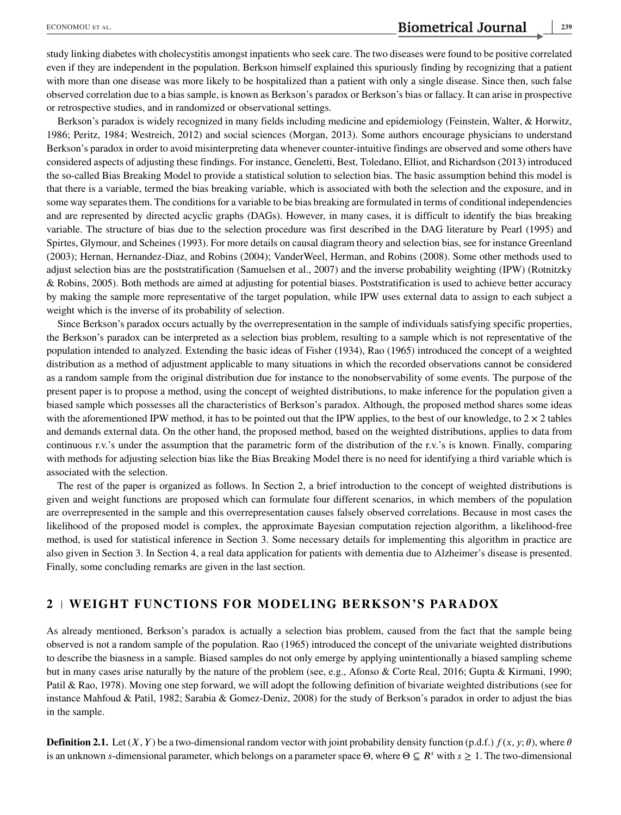study linking diabetes with cholecystitis amongst inpatients who seek care. The two diseases were found to be positive correlated even if they are independent in the population. Berkson himself explained this spuriously finding by recognizing that a patient with more than one disease was more likely to be hospitalized than a patient with only a single disease. Since then, such false observed correlation due to a bias sample, is known as Berkson's paradox or Berkson's bias or fallacy. It can arise in prospective or retrospective studies, and in randomized or observational settings.

Berkson's paradox is widely recognized in many fields including medicine and epidemiology (Feinstein, Walter, & Horwitz, 1986; Peritz, 1984; Westreich, 2012) and social sciences (Morgan, 2013). Some authors encourage physicians to understand Berkson's paradox in order to avoid misinterpreting data whenever counter-intuitive findings are observed and some others have considered aspects of adjusting these findings. For instance, Geneletti, Best, Toledano, Elliot, and Richardson (2013) introduced the so-called Bias Breaking Model to provide a statistical solution to selection bias. The basic assumption behind this model is that there is a variable, termed the bias breaking variable, which is associated with both the selection and the exposure, and in some way separates them. The conditions for a variable to be bias breaking are formulated in terms of conditional independencies and are represented by directed acyclic graphs (DAGs). However, in many cases, it is difficult to identify the bias breaking variable. The structure of bias due to the selection procedure was first described in the DAG literature by Pearl (1995) and Spirtes, Glymour, and Scheines (1993). For more details on causal diagram theory and selection bias, see for instance Greenland (2003); Hernan, Hernandez-Diaz, and Robins (2004); VanderWeel, Herman, and Robins (2008). Some other methods used to adjust selection bias are the poststratification (Samuelsen et al., 2007) and the inverse probability weighting (IPW) (Rotnitzky & Robins, 2005). Both methods are aimed at adjusting for potential biases. Poststratification is used to achieve better accuracy by making the sample more representative of the target population, while IPW uses external data to assign to each subject a weight which is the inverse of its probability of selection.

Since Berkson's paradox occurs actually by the overrepresentation in the sample of individuals satisfying specific properties, the Berkson's paradox can be interpreted as a selection bias problem, resulting to a sample which is not representative of the population intended to analyzed. Extending the basic ideas of Fisher (1934), Rao (1965) introduced the concept of a weighted distribution as a method of adjustment applicable to many situations in which the recorded observations cannot be considered as a random sample from the original distribution due for instance to the nonobservability of some events. The purpose of the present paper is to propose a method, using the concept of weighted distributions, to make inference for the population given a biased sample which possesses all the characteristics of Berkson's paradox. Although, the proposed method shares some ideas with the aforementioned IPW method, it has to be pointed out that the IPW applies, to the best of our knowledge, to  $2 \times 2$  tables and demands external data. On the other hand, the proposed method, based on the weighted distributions, applies to data from continuous r.v.'s under the assumption that the parametric form of the distribution of the r.v.'s is known. Finally, comparing with methods for adjusting selection bias like the Bias Breaking Model there is no need for identifying a third variable which is associated with the selection.

The rest of the paper is organized as follows. In Section 2, a brief introduction to the concept of weighted distributions is given and weight functions are proposed which can formulate four different scenarios, in which members of the population are overrepresented in the sample and this overrepresentation causes falsely observed correlations. Because in most cases the likelihood of the proposed model is complex, the approximate Bayesian computation rejection algorithm, a likelihood-free method, is used for statistical inference in Section 3. Some necessary details for implementing this algorithm in practice are also given in Section 3. In Section 4, a real data application for patients with dementia due to Alzheimer's disease is presented. Finally, some concluding remarks are given in the last section.

## **2 WEIGHT FUNCTIONS FOR MODELING BERKSON'S PARADOX**

As already mentioned, Berkson's paradox is actually a selection bias problem, caused from the fact that the sample being observed is not a random sample of the population. Rao (1965) introduced the concept of the univariate weighted distributions to describe the biasness in a sample. Biased samples do not only emerge by applying unintentionally a biased sampling scheme but in many cases arise naturally by the nature of the problem (see, e.g., Afonso & Corte Real, 2016; Gupta & Kirmani, 1990; Patil & Rao, 1978). Moving one step forward, we will adopt the following definition of bivariate weighted distributions (see for instance Mahfoud & Patil, 1982; Sarabia & Gomez-Deniz, 2008) for the study of Berkson's paradox in order to adjust the bias in the sample.

**Definition 2.1.** Let  $(X, Y)$  be a two-dimensional random vector with joint probability density function (p.d.f.)  $f(x, y; \theta)$ , where  $\theta$ is an unknown s-dimensional parameter, which belongs on a parameter space  $\Theta$ , where  $\Theta \subseteq R^s$  with  $s \geq 1$ . The two-dimensional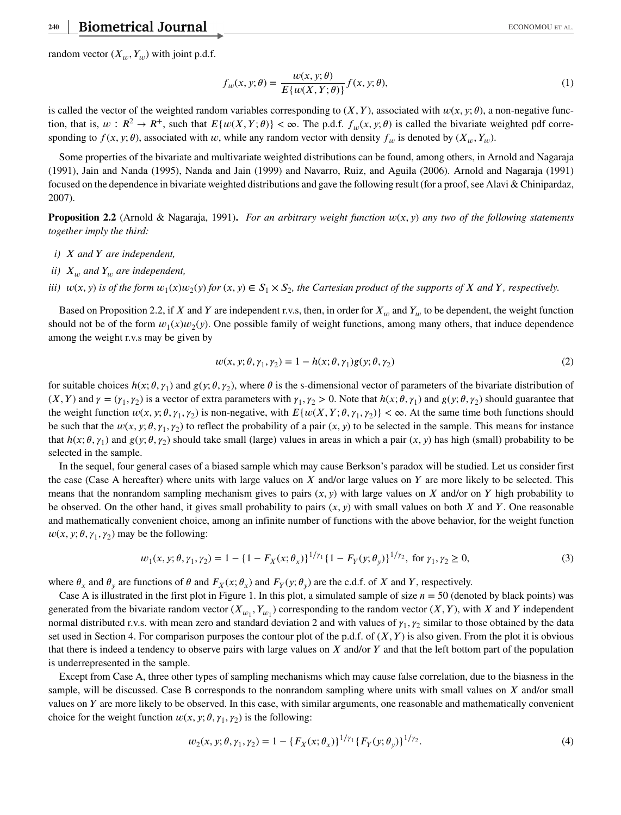random vector  $(X_u, Y_u)$  with joint p.d.f.

$$
f_w(x, y; \theta) = \frac{w(x, y; \theta)}{E\{w(X, Y; \theta)\}} f(x, y; \theta),
$$
\n(1)

is called the vector of the weighted random variables corresponding to  $(X, Y)$ , associated with  $w(x, y; \theta)$ , a non-negative function, that is,  $w : \mathbb{R}^2 \to \mathbb{R}^+$ , such that  $E\{w(X, Y; \theta)\} < \infty$ . The p.d.f.  $f_w(x, y; \theta)$  is called the bivariate weighted pdf corresponding to  $f(x, y; \theta)$ , associated with  $w$ , while any random vector with density  $f_w$  is denoted by  $(X_w, Y_w)$ .

Some properties of the bivariate and multivariate weighted distributions can be found, among others, in Arnold and Nagaraja (1991), Jain and Nanda (1995), Nanda and Jain (1999) and Navarro, Ruiz, and Aguila (2006). Arnold and Nagaraja (1991) focused on the dependence in bivariate weighted distributions and gave the following result (for a proof, see Alavi & Chinipardaz, 2007).

**Proposition 2.2** (Arnold & Nagaraja, 1991). *For an arbitrary weight function*  $w(x, y)$  *any two of the following statements together imply the third:*

- *i) and are independent,*
- *ii*)  $X_w$  and  $Y_w$  are independent,
- *iii)*  $w(x, y)$  *is of the form*  $w_1(x)w_2(y)$  *for*  $(x, y) \in S_1 \times S_2$ *, the Cartesian product of the supports of*  $X$  *and*  $Y$ *, respectively.*

Based on Proposition 2.2, if X and Y are independent r.v.s, then, in order for  $X_w$  and  $Y_w$  to be dependent, the weight function should not be of the form  $w_1(x)w_2(y)$ . One possible family of weight functions, among many others, that induce dependence among the weight r.v.s may be given by

$$
w(x, y; \theta, \gamma_1, \gamma_2) = 1 - h(x; \theta, \gamma_1)g(y; \theta, \gamma_2)
$$
\n<sup>(2)</sup>

for suitable choices  $h(x; \theta, \gamma_1)$  and  $g(y; \theta, \gamma_2)$ , where  $\theta$  is the s-dimensional vector of parameters of the bivariate distribution of  $(X, Y)$  and  $\gamma = (\gamma_1, \gamma_2)$  is a vector of extra parameters with  $\gamma_1, \gamma_2 > 0$ . Note that  $h(x; \theta, \gamma_1)$  and  $g(y; \theta, \gamma_2)$  should guarantee that the weight function  $w(x, y; \theta, \gamma_1, \gamma_2)$  is non-negative, with  $E\{w(X, Y; \theta, \gamma_1, \gamma_2)\} < \infty$ . At the same time both functions should be such that the  $w(x, y; \theta, \gamma_1, \gamma_2)$  to reflect the probability of a pair  $(x, y)$  to be selected in the sample. This means for instance that  $h(x; \theta, \gamma_1)$  and  $g(y; \theta, \gamma_2)$  should take small (large) values in areas in which a pair  $(x, y)$  has high (small) probability to be selected in the sample.

In the sequel, four general cases of a biased sample which may cause Berkson's paradox will be studied. Let us consider first the case (Case A hereafter) where units with large values on  $X$  and/or large values on  $Y$  are more likely to be selected. This means that the nonrandom sampling mechanism gives to pairs  $(x, y)$  with large values on X and/or on Y high probability to be observed. On the other hand, it gives small probability to pairs  $(x, y)$  with small values on both X and Y. One reasonable and mathematically convenient choice, among an infinite number of functions with the above behavior, for the weight function  $w(x, y; \theta, \gamma_1, \gamma_2)$  may be the following:

$$
w_1(x, y; \theta, \gamma_1, \gamma_2) = 1 - \left\{1 - F_X(x; \theta_x)\right\}^{1/\gamma_1} \left\{1 - F_Y(y; \theta_y)\right\}^{1/\gamma_2}, \text{ for } \gamma_1, \gamma_2 \ge 0,
$$
\n(3)

where  $\theta_x$  and  $\theta_y$  are functions of  $\theta$  and  $F_x(x; \theta_x)$  and  $F_y(y; \theta_y)$  are the c.d.f. of X and Y, respectively.

Case A is illustrated in the first plot in Figure 1. In this plot, a simulated sample of size  $n = 50$  (denoted by black points) was generated from the bivariate random vector  $(X_{w_1}, Y_{w_1})$  corresponding to the random vector  $(X, Y)$ , with X and Y independent normal distributed r.v.s. with mean zero and standard deviation 2 and with values of  $\gamma_1, \gamma_2$  similar to those obtained by the data set used in Section 4. For comparison purposes the contour plot of the p.d.f. of  $(X, Y)$  is also given. From the plot it is obvious that there is indeed a tendency to observe pairs with large values on  $X$  and/or  $Y$  and that the left bottom part of the population is underrepresented in the sample.

Except from Case A, three other types of sampling mechanisms which may cause false correlation, due to the biasness in the sample, will be discussed. Case B corresponds to the nonrandom sampling where units with small values on  $X$  and/or small values on  $Y$  are more likely to be observed. In this case, with similar arguments, one reasonable and mathematically convenient choice for the weight function  $w(x, y; \theta, \gamma_1, \gamma_2)$  is the following:

$$
w_2(x, y; \theta, \gamma_1, \gamma_2) = 1 - \{F_X(x; \theta_x)\}^{1/\gamma_1} \{F_Y(y; \theta_y)\}^{1/\gamma_2}.
$$
 (4)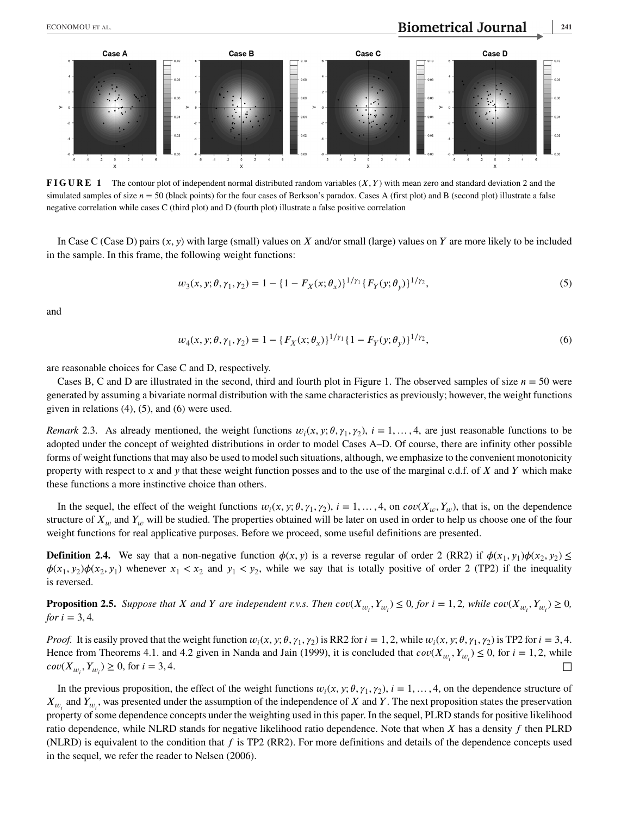Case A



**FIGURE 1** The contour plot of independent normal distributed random variables  $(X, Y)$  with mean zero and standard deviation 2 and the simulated samples of size  $n = 50$  (black points) for the four cases of Berkson's paradox. Cases A (first plot) and B (second plot) illustrate a false negative correlation while cases C (third plot) and D (fourth plot) illustrate a false positive correlation

In Case C (Case D) pairs  $(x, y)$  with large (small) values on X and/or small (large) values on Y are more likely to be included in the sample. In this frame, the following weight functions:

$$
w_3(x, y; \theta, \gamma_1, \gamma_2) = 1 - \{1 - F_X(x; \theta_x)\}^{1/\gamma_1} \{F_Y(y; \theta_y)\}^{1/\gamma_2},\tag{5}
$$

and

$$
w_4(x, y; \theta, \gamma_1, \gamma_2) = 1 - \{F_X(x; \theta_x)\}^{1/\gamma_1} \{1 - F_Y(y; \theta_y)\}^{1/\gamma_2},\tag{6}
$$

are reasonable choices for Case C and D, respectively.

Cases B, C and D are illustrated in the second, third and fourth plot in Figure 1. The observed samples of size  $n = 50$  were generated by assuming a bivariate normal distribution with the same characteristics as previously; however, the weight functions given in relations (4), (5), and (6) were used.

*Remark* 2.3. As already mentioned, the weight functions  $w_i(x, y; \theta, \gamma_1, \gamma_2)$ ,  $i = 1, ..., 4$ , are just reasonable functions to be adopted under the concept of weighted distributions in order to model Cases A–D. Of course, there are infinity other possible forms of weight functions that may also be used to model such situations, although, we emphasize to the convenient monotonicity property with respect to x and y that these weight function posses and to the use of the marginal c.d.f. of  $X$  and  $Y$  which make these functions a more instinctive choice than others.

In the sequel, the effect of the weight functions  $w_i(x, y; \theta, \gamma_1, \gamma_2)$ ,  $i = 1, \ldots, 4$ , on  $cov(X_u, Y_u)$ , that is, on the dependence structure of  $X_w$  and  $Y_w$  will be studied. The properties obtained will be later on used in order to help us choose one of the four weight functions for real applicative purposes. Before we proceed, some useful definitions are presented.

**Definition 2.4.** We say that a non-negative function  $\phi(x, y)$  is a reverse regular of order 2 (RR2) if  $\phi(x_1, y_1)\phi(x_2, y_2) \le$  $\phi(x_1, y_2)\phi(x_2, y_1)$  whenever  $x_1 < x_2$  and  $y_1 < y_2$ , while we say that is totally positive of order 2 (TP2) if the inequality is reversed.

**Proposition 2.5.** Suppose that X and Y are independent r.v.s. Then  $cov(X_{w_i}, Y_{w_i}) \le 0$ , for  $i = 1, 2$ , while  $cov(X_{w_i}, Y_{w_i}) \ge 0$ , *for*  $i = 3, 4$ *.* 

*Proof.* It is easily proved that the weight function  $w_i(x, y; \theta, \gamma_1, \gamma_2)$  is RR2 for  $i = 1, 2$ , while  $w_i(x, y; \theta, \gamma_1, \gamma_2)$  is TP2 for  $i = 3, 4$ . Hence from Theorems 4.1. and 4.2 given in Nanda and Jain (1999), it is concluded that  $cov(X_{w_i}, Y_{w_i}) \le 0$ , for  $i = 1, 2$ , while  $cov(X_{w_i}, Y_{w_i}) \ge 0$ , for  $i = 3, 4$ .

In the previous proposition, the effect of the weight functions  $w_i(x, y; \theta, \gamma_1, \gamma_2)$ ,  $i = 1, ..., 4$ , on the dependence structure of  $X_{w_i}$  and  $Y_{w_i}$ , was presented under the assumption of the independence of X and Y. The next proposition states the preservation property of some dependence concepts under the weighting used in this paper. In the sequel, PLRD stands for positive likelihood ratio dependence, while NLRD stands for negative likelihood ratio dependence. Note that when  $X$  has a density  $f$  then PLRD (NLRD) is equivalent to the condition that  $f$  is TP2 (RR2). For more definitions and details of the dependence concepts used in the sequel, we refer the reader to Nelsen (2006).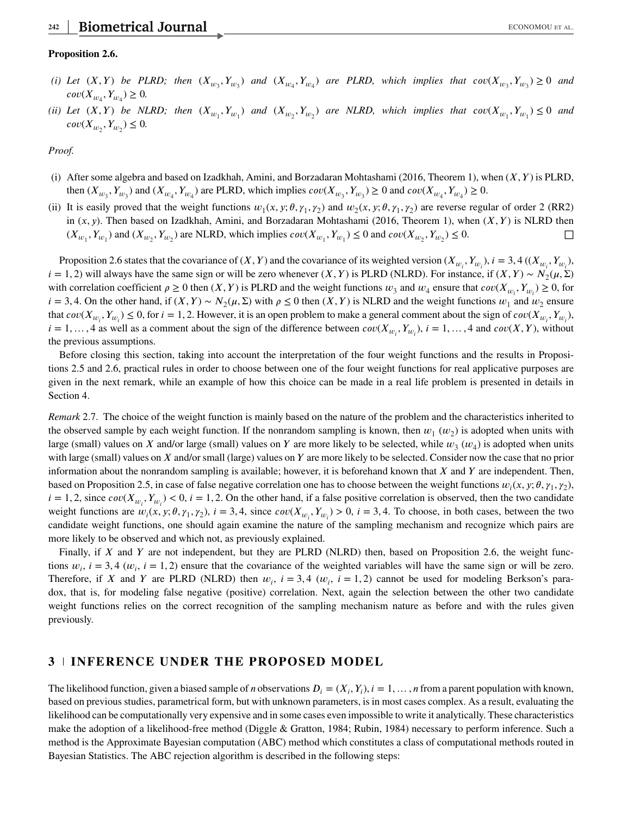#### **Proposition 2.6.**

- (*i)* Let  $(X, Y)$  be PLRD; then  $(X_{w_3}, Y_{w_3})$  and  $(X_{w_4}, Y_{w_4})$  are PLRD, which implies that  $cov(X_{w_3}, Y_{w_3}) \ge 0$  and  $cov(X_{w_4}, Y_{w_4}) \geq 0.$
- (*ii*) Let  $(X, Y)$  be NLRD; then  $(X_{w_1}, Y_{w_1})$  and  $(X_{w_2}, Y_{w_2})$  are NLRD, which implies that  $cov(X_{w_1}, Y_{w_1}) \leq 0$  and  $cov(X_{w_2}, Y_{w_2}) \leq 0.$

*Proof.*

- (i) After some algebra and based on Izadkhah, Amini, and Borzadaran Mohtashami (2016, Theorem 1), when  $(X, Y)$  is PLRD, then  $(X_{w_3}, Y_{w_3})$  and  $(X_{w_4}, Y_{w_4})$  are PLRD, which implies  $cov(X_{w_3}, Y_{w_3}) \ge 0$  and  $cov(X_{w_4}, Y_{w_4}) \ge 0$ .
- (ii) It is easily proved that the weight functions  $w_1(x, y; \theta, \gamma_1, \gamma_2)$  and  $w_2(x, y; \theta, \gamma_1, \gamma_2)$  are reverse regular of order 2 (RR2) in  $(x, y)$ . Then based on Izadkhah, Amini, and Borzadaran Mohtashami (2016, Theorem 1), when  $(X, Y)$  is NLRD then  $(X_{w_1}, Y_{w_1})$  and  $(X_{w_2}, Y_{w_2})$  are NLRD, which implies  $cov(X_{w_1}, Y_{w_1}) \le 0$  and  $cov(X_{w_2}, Y_{w_2}) \le 0$ .

Proposition 2.6 states that the covariance of  $(X, Y)$  and the covariance of its weighted version  $(X_{w_i}, Y_{w_i})$ ,  $i = 3, 4$   $((X_{w_i}, Y_{w_i})$ ,  $i = 1, 2$ ) will always have the same sign or will be zero whenever  $(X, Y)$  is PLRD (NLRD). For instance, if  $(X, Y) \sim N_2(\mu, \Sigma)$ with correlation coefficient  $\rho \ge 0$  then  $(X, Y)$  is PLRD and the weight functions  $w_3$  and  $w_4$  ensure that  $cov(X_{w_i}, Y_{w_i}) \ge 0$ , for  $i = 3, 4$ . On the other hand, if  $(X, Y) \sim N_2(\mu, \Sigma)$  with  $\rho \le 0$  then  $(X, Y)$  is NLRD and the weight functions  $w_1$  and  $w_2$  ensure that  $cov(X_{w_i}, Y_{w_i}) \le 0$ , for  $i = 1, 2$ . However, it is an open problem to make a general comment about the sign of  $cov(X_{w_i}, Y_{w_i})$ ,  $i = 1, ..., 4$  as well as a comment about the sign of the difference between  $cov(X_{w_i}, Y_{w_i}), i = 1, ..., 4$  and  $cov(X, Y)$ , without the previous assumptions.

Before closing this section, taking into account the interpretation of the four weight functions and the results in Propositions 2.5 and 2.6, practical rules in order to choose between one of the four weight functions for real applicative purposes are given in the next remark, while an example of how this choice can be made in a real life problem is presented in details in Section 4.

*Remark* 2.7. The choice of the weight function is mainly based on the nature of the problem and the characteristics inherited to the observed sample by each weight function. If the nonrandom sampling is known, then  $w_1(w_2)$  is adopted when units with large (small) values on X and/or large (small) values on Y are more likely to be selected, while  $w_3(w_4)$  is adopted when units with large (small) values on  $X$  and/or small (large) values on  $Y$  are more likely to be selected. Consider now the case that no prior information about the nonrandom sampling is available; however, it is beforehand known that  $X$  and  $Y$  are independent. Then, based on Proposition 2.5, in case of false negative correlation one has to choose between the weight functions  $w_i(x, y; \theta, \gamma_1, \gamma_2)$ ,  $i = 1, 2$ , since  $cov(X_{w_i}, Y_{w_i}) < 0$ ,  $i = 1, 2$ . On the other hand, if a false positive correlation is observed, then the two candidate weight functions are  $w_i(x, y; \theta, \gamma_1, \gamma_2)$ ,  $i = 3, 4$ , since  $cov(X_{w_i}, Y_{w_i}) > 0$ ,  $i = 3, 4$ . To choose, in both cases, between the two candidate weight functions, one should again examine the nature of the sampling mechanism and recognize which pairs are more likely to be observed and which not, as previously explained.

Finally, if  $X$  and  $Y$  are not independent, but they are PLRD (NLRD) then, based on Proposition 2.6, the weight functions  $w_i$ ,  $i = 3, 4$  ( $w_i$ ,  $i = 1, 2$ ) ensure that the covariance of the weighted variables will have the same sign or will be zero. Therefore, if X and Y are PLRD (NLRD) then  $w_i$ ,  $i = 3, 4$  ( $w_i$ ,  $i = 1, 2$ ) cannot be used for modeling Berkson's paradox, that is, for modeling false negative (positive) correlation. Next, again the selection between the other two candidate weight functions relies on the correct recognition of the sampling mechanism nature as before and with the rules given previously.

## **3 INFERENCE UNDER THE PROPOSED MODEL**

The likelihood function, given a biased sample of *n* observations  $D_i = (X_i, Y_i)$ ,  $i = 1, \ldots, n$  from a parent population with known, based on previous studies, parametrical form, but with unknown parameters, is in most cases complex. As a result, evaluating the likelihood can be computationally very expensive and in some cases even impossible to write it analytically. These characteristics make the adoption of a likelihood-free method (Diggle & Gratton, 1984; Rubin, 1984) necessary to perform inference. Such a method is the Approximate Bayesian computation (ABC) method which constitutes a class of computational methods routed in Bayesian Statistics. The ABC rejection algorithm is described in the following steps: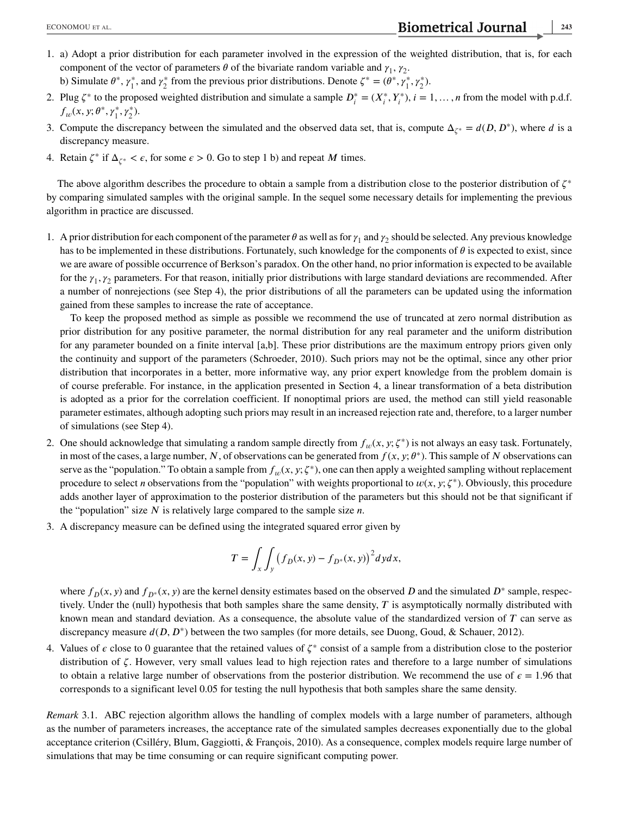- 1. a) Adopt a prior distribution for each parameter involved in the expression of the weighted distribution, that is, for each component of the vector of parameters  $\theta$  of the bivariate random variable and  $\gamma_1$ ,  $\gamma_2$ .
- b) Simulate  $\theta^*, \gamma_1^*$ , and  $\gamma_2^*$  from the previous prior distributions. Denote  $\zeta^* = (\theta^*, \gamma_1^*, \gamma_2^*)$ . 2. Plug  $\zeta^*$  to the proposed weighted distribution and simulate a sample  $D_i^* = (X_i^*, Y_i^*)$ ,  $i = 1, ..., n$  from the model with p.d.f.
- $f_w(x, y; \theta^*, \gamma_1^*, \gamma_2^*).$ 3. Compute the discrepancy between the simulated and the observed data set, that is, compute  $\Delta_{\zeta^*} = d(D, D^*)$ , where d is a discrepancy measure.
- 4. Retain  $\zeta^*$  if  $\Delta_{\zeta^*} < \epsilon$ , for some  $\epsilon > 0$ . Go to step 1 b) and repeat M times.

The above algorithm describes the procedure to obtain a sample from a distribution close to the posterior distribution of  $\zeta^*$ by comparing simulated samples with the original sample. In the sequel some necessary details for implementing the previous algorithm in practice are discussed.

1. A prior distribution for each component of the parameter  $\theta$  as well as for  $\gamma_1$  and  $\gamma_2$  should be selected. Any previous knowledge has to be implemented in these distributions. Fortunately, such knowledge for the components of  $\theta$  is expected to exist, since we are aware of possible occurrence of Berkson's paradox. On the other hand, no prior information is expected to be available for the  $\gamma_1, \gamma_2$  parameters. For that reason, initially prior distributions with large standard deviations are recommended. After a number of nonrejections (see Step 4), the prior distributions of all the parameters can be updated using the information gained from these samples to increase the rate of acceptance.

To keep the proposed method as simple as possible we recommend the use of truncated at zero normal distribution as prior distribution for any positive parameter, the normal distribution for any real parameter and the uniform distribution for any parameter bounded on a finite interval [a,b]. These prior distributions are the maximum entropy priors given only the continuity and support of the parameters (Schroeder, 2010). Such priors may not be the optimal, since any other prior distribution that incorporates in a better, more informative way, any prior expert knowledge from the problem domain is of course preferable. For instance, in the application presented in Section 4, a linear transformation of a beta distribution is adopted as a prior for the correlation coefficient. If nonoptimal priors are used, the method can still yield reasonable parameter estimates, although adopting such priors may result in an increased rejection rate and, therefore, to a larger number of simulations (see Step 4).

- 2. One should acknowledge that simulating a random sample directly from  $f_w(x, y; \zeta^*)$  is not always an easy task. Fortunately, in most of the cases, a large number, N, of observations can be generated from  $f(x, y; \theta^*)$ . This sample of N observations can serve as the "population." To obtain a sample from  $f_w(x, y; \zeta^*)$ , one can then apply a weighted sampling without replacement procedure to select *n* observations from the "population" with weights proportional to  $w(x, y; \zeta^*)$ . Obviously, this procedure adds another layer of approximation to the posterior distribution of the parameters but this should not be that significant if the "population" size  $N$  is relatively large compared to the sample size  $n$ .
- 3. A discrepancy measure can be defined using the integrated squared error given by

$$
T = \int_x \int_y \left( f_D(x, y) - f_{D^*}(x, y) \right)^2 dy dx,
$$

where  $f_D(x, y)$  and  $f_{D^*}(x, y)$  are the kernel density estimates based on the observed D and the simulated  $D^*$  sample, respectively. Under the (null) hypothesis that both samples share the same density,  $T$  is asymptotically normally distributed with known mean and standard deviation. As a consequence, the absolute value of the standardized version of  $T$  can serve as discrepancy measure  $d(D, D^*)$  between the two samples (for more details, see Duong, Goud, & Schauer, 2012).

4. Values of  $\epsilon$  close to 0 guarantee that the retained values of  $\zeta^*$  consist of a sample from a distribution close to the posterior distribution of  $\zeta$ . However, very small values lead to high rejection rates and therefore to a large number of simulations to obtain a relative large number of observations from the posterior distribution. We recommend the use of  $\epsilon = 1.96$  that corresponds to a significant level 0.05 for testing the null hypothesis that both samples share the same density.

*Remark* 3.1. ABC rejection algorithm allows the handling of complex models with a large number of parameters, although as the number of parameters increases, the acceptance rate of the simulated samples decreases exponentially due to the global acceptance criterion (Csilléry, Blum, Gaggiotti, & François, 2010). As a consequence, complex models require large number of simulations that may be time consuming or can require significant computing power.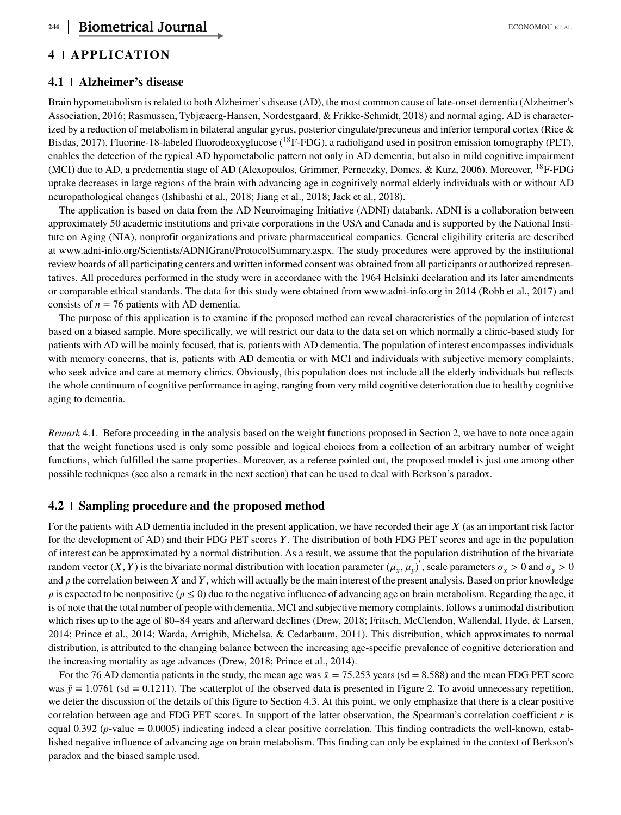# **4 APPLICATION**

#### **4.1 Alzheimer's disease**

Brain hypometabolism is related to both Alzheimer's disease (AD), the most common cause of late-onset dementia (Alzheimer's Association, 2016; Rasmussen, Tybjæaerg-Hansen, Nordestgaard, & Frikke-Schmidt, 2018) and normal aging. AD is characterized by a reduction of metabolism in bilateral angular gyrus, posterior cingulate/precuneus and inferior temporal cortex (Rice & Bisdas, 2017). Fluorine-18-labeled fluorodeoxyglucose ( $^{18}$ F-FDG), a radioligand used in positron emission tomography (PET), enables the detection of the typical AD hypometabolic pattern not only in AD dementia, but also in mild cognitive impairment (MCI) due to AD, a predementia stage of AD (Alexopoulos, Grimmer, Perneczky, Domes, & Kurz, 2006). Moreover, <sup>18</sup>F-FDG uptake decreases in large regions of the brain with advancing age in cognitively normal elderly individuals with or without AD neuropathological changes (Ishibashi et al., 2018; Jiang et al., 2018; Jack et al., 2018).

The application is based on data from the AD Neuroimaging Initiative (ADNI) databank. ADNI is a collaboration between approximately 50 academic institutions and private corporations in the USA and Canada and is supported by the National Institute on Aging (NIA), nonprofit organizations and private pharmaceutical companies. General eligibility criteria are described at [www.adni-info.org/Scientists/ADNIGrant/ProtocolSummary.aspx.](file:www.adni-info.org/Scientists/ADNIGrant/ProtocolSummary.aspx) The study procedures were approved by the institutional review boards of all participating centers and written informed consent was obtained from all participants or authorized representatives. All procedures performed in the study were in accordance with the 1964 Helsinki declaration and its later amendments or comparable ethical standards. The data for this study were obtained from [www.adni-info.org](file:www.adni-info.org) in 2014 (Robb et al., 2017) and consists of  $n = 76$  patients with AD dementia.

The purpose of this application is to examine if the proposed method can reveal characteristics of the population of interest based on a biased sample. More specifically, we will restrict our data to the data set on which normally a clinic-based study for patients with AD will be mainly focused, that is, patients with AD dementia. The population of interest encompasses individuals with memory concerns, that is, patients with AD dementia or with MCI and individuals with subjective memory complaints, who seek advice and care at memory clinics. Obviously, this population does not include all the elderly individuals but reflects the whole continuum of cognitive performance in aging, ranging from very mild cognitive deterioration due to healthy cognitive aging to dementia.

*Remark* 4.1. Before proceeding in the analysis based on the weight functions proposed in Section 2, we have to note once again that the weight functions used is only some possible and logical choices from a collection of an arbitrary number of weight functions, which fulfilled the same properties. Moreover, as a referee pointed out, the proposed model is just one among other possible techniques (see also a remark in the next section) that can be used to deal with Berkson's paradox.

#### **4.2 Sampling procedure and the proposed method**

For the patients with AD dementia included in the present application, we have recorded their age  $X$  (as an important risk factor for the development of AD) and their FDG PET scores Y. The distribution of both FDG PET scores and age in the population of interest can be approximated by a normal distribution. As a result, we assume that the population distribution of the bivariate random vector  $(X, Y)$  is the bivariate normal distribution with location parameter  $(\mu_x, \mu_y)'$ , scale parameters  $\sigma_x > 0$  and  $\sigma_y > 0$ and  $\rho$  the correlation between X and Y, which will actually be the main interest of the present analysis. Based on prior knowledge  $\rho$  is expected to be nonpositive ( $\rho \le 0$ ) due to the negative influence of advancing age on brain metabolism. Regarding the age, it is of note that the total number of people with dementia, MCI and subjective memory complaints, follows a unimodal distribution which rises up to the age of 80–84 years and afterward declines (Drew, 2018; Fritsch, McClendon, Wallendal, Hyde, & Larsen, 2014; Prince et al., 2014; Warda, Arrighib, Michelsa, & Cedarbaum, 2011). This distribution, which approximates to normal distribution, is attributed to the changing balance between the increasing age-specific prevalence of cognitive deterioration and the increasing mortality as age advances (Drew, 2018; Prince et al., 2014).

For the 76 AD dementia patients in the study, the mean age was  $\bar{x} = 75.253$  years (sd = 8.588) and the mean FDG PET score was  $\bar{y} = 1.0761$  (sd = 0.1211). The scatterplot of the observed data is presented in Figure 2. To avoid unnecessary repetition, we defer the discussion of the details of this figure to Section 4.3. At this point, we only emphasize that there is a clear positive correlation between age and FDG PET scores. In support of the latter observation, the Spearman's correlation coefficient  $r$  is equal 0.392 (*p*-value = 0.0005) indicating indeed a clear positive correlation. This finding contradicts the well-known, established negative influence of advancing age on brain metabolism. This finding can only be explained in the context of Berkson's paradox and the biased sample used.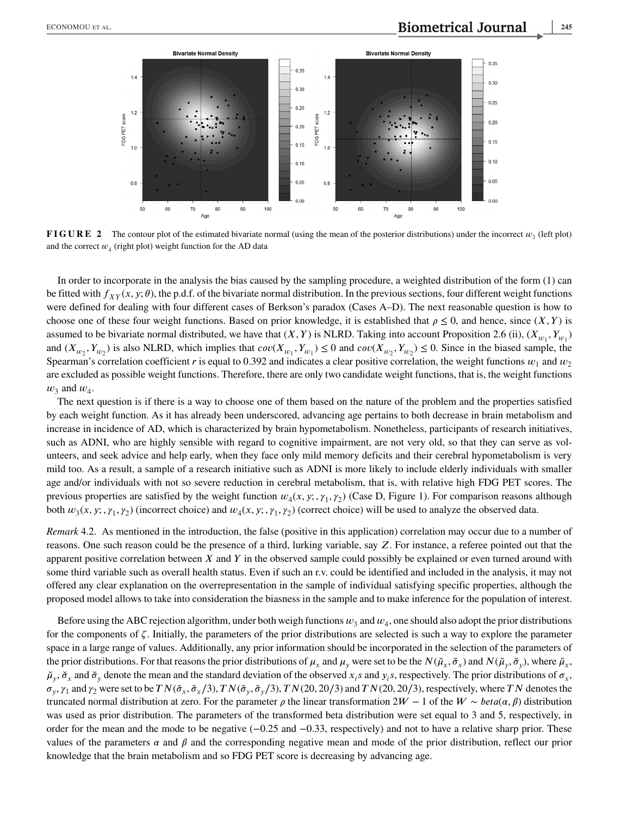

**FIGURE 2** The contour plot of the estimated bivariate normal (using the mean of the posterior distributions) under the incorrect  $w_2$  (left plot) and the correct  $w_4$  (right plot) weight function for the AD data

In order to incorporate in the analysis the bias caused by the sampling procedure, a weighted distribution of the form (1) can be fitted with  $f_{XY}(x, y; \theta)$ , the p.d.f. of the bivariate normal distribution. In the previous sections, four different weight functions were defined for dealing with four different cases of Berkson's paradox (Cases A–D). The next reasonable question is how to choose one of these four weight functions. Based on prior knowledge, it is established that  $\rho \le 0$ , and hence, since  $(X, Y)$  is assumed to be bivariate normal distributed, we have that  $(X, Y)$  is NLRD. Taking into account Proposition 2.6 (ii),  $(X_{w_1}, Y_{w_1})$ and  $(X_{w_2}, Y_{w_2})$  is also NLRD, which implies that  $cov(X_{w_1}, Y_{w_1}) \le 0$  and  $cov(X_{w_2}, Y_{w_2}) \le 0$ . Since in the biased sample, the Spearman's correlation coefficient r is equal to 0.392 and indicates a clear positive correlation, the weight functions  $w_1$  and  $w_2$ are excluded as possible weight functions. Therefore, there are only two candidate weight functions, that is, the weight functions  $w_3$  and  $w_4$ .

The next question is if there is a way to choose one of them based on the nature of the problem and the properties satisfied by each weight function. As it has already been underscored, advancing age pertains to both decrease in brain metabolism and increase in incidence of AD, which is characterized by brain hypometabolism. Nonetheless, participants of research initiatives, such as ADNI, who are highly sensible with regard to cognitive impairment, are not very old, so that they can serve as volunteers, and seek advice and help early, when they face only mild memory deficits and their cerebral hypometabolism is very mild too. As a result, a sample of a research initiative such as ADNI is more likely to include elderly individuals with smaller age and/or individuals with not so severe reduction in cerebral metabolism, that is, with relative high FDG PET scores. The previous properties are satisfied by the weight function  $w_4(x, y; , \gamma_1, \gamma_2)$  (Case D, Figure 1). For comparison reasons although both  $w_3(x, y; \gamma_1, \gamma_2)$  (incorrect choice) and  $w_4(x, y; \gamma_1, \gamma_2)$  (correct choice) will be used to analyze the observed data.

*Remark* 4.2. As mentioned in the introduction, the false (positive in this application) correlation may occur due to a number of reasons. One such reason could be the presence of a third, lurking variable, say  $Z$ . For instance, a referee pointed out that the apparent positive correlation between  $X$  and  $Y$  in the observed sample could possibly be explained or even turned around with some third variable such as overall health status. Even if such an r.v. could be identified and included in the analysis, it may not offered any clear explanation on the overrepresentation in the sample of individual satisfying specific properties, although the proposed model allows to take into consideration the biasness in the sample and to make inference for the population of interest.

Before using the ABC rejection algorithm, under both weigh functions  $w_3$  and  $w_4$ , one should also adopt the prior distributions for the components of  $\zeta$ . Initially, the parameters of the prior distributions are selected is such a way to explore the parameter space in a large range of values. Additionally, any prior information should be incorporated in the selection of the parameters of the prior distributions. For that reasons the prior distributions of  $\mu_x$  and  $\mu_y$  were set to be the  $N(\tilde{\mu}_x, \tilde{\sigma}_x)$  and  $N(\tilde{\mu}_y, \tilde{\sigma}_y)$ , where  $\tilde{\mu}_x$ ,  $\breve{\mu}_v$ ,  $\breve{\sigma}_x$  and  $\breve{\sigma}_v$  denote the mean and the standard deviation of the observed  $x_i$ s and  $y_i$ s, respectively. The prior distributions of  $\sigma_x$ ,  $\sigma_y$ ,  $\gamma_1$  and  $\gamma_2$  were set to be  $TN(\check{\sigma}_x, \check{\sigma}_x/3)$ ,  $TN(\check{\sigma}_y, \check{\sigma}_y/3)$ ,  $TN(20, 20/3)$  and  $TN(20, 20/3)$ , respectively, where  $TN$  denotes the truncated normal distribution at zero. For the parameter  $\rho$  the linear transformation 2W − 1 of the  $W \sim \text{beta}(\alpha, \beta)$  distribution was used as prior distribution. The parameters of the transformed beta distribution were set equal to 3 and 5, respectively, in order for the mean and the mode to be negative (−0*.*25 and −0*.*33, respectively) and not to have a relative sharp prior. These values of the parameters  $\alpha$  and  $\beta$  and the corresponding negative mean and mode of the prior distribution, reflect our prior knowledge that the brain metabolism and so FDG PET score is decreasing by advancing age.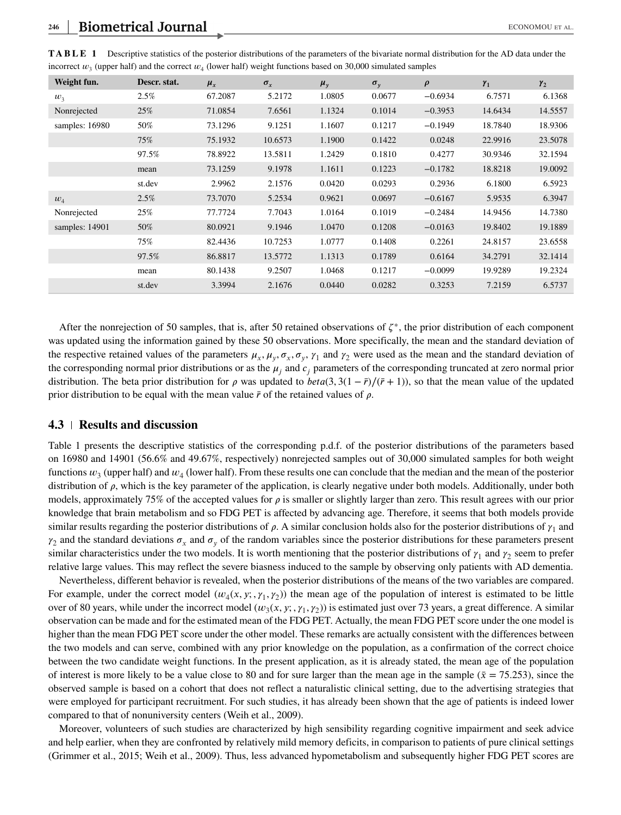| Weight fun.    | Descr. stat. | $\mu_{x}$ | $\sigma_{r}$ | $\mu_v$ | $\sigma_{v}$ | $\rho$    | $\gamma_1$ | $\gamma_2$ |
|----------------|--------------|-----------|--------------|---------|--------------|-----------|------------|------------|
| $w_3$          | 2.5%         | 67.2087   | 5.2172       | 1.0805  | 0.0677       | $-0.6934$ | 6.7571     | 6.1368     |
| Nonrejected    | 25%          | 71.0854   | 7.6561       | 1.1324  | 0.1014       | $-0.3953$ | 14.6434    | 14.5557    |
| samples: 16980 | 50%          | 73.1296   | 9.1251       | 1.1607  | 0.1217       | $-0.1949$ | 18.7840    | 18.9306    |
|                | 75%          | 75.1932   | 10.6573      | 1.1900  | 0.1422       | 0.0248    | 22.9916    | 23.5078    |
|                | 97.5%        | 78.8922   | 13.5811      | 1.2429  | 0.1810       | 0.4277    | 30.9346    | 32.1594    |
|                | mean         | 73.1259   | 9.1978       | 1.1611  | 0.1223       | $-0.1782$ | 18.8218    | 19.0092    |
|                | st.dev       | 2.9962    | 2.1576       | 0.0420  | 0.0293       | 0.2936    | 6.1800     | 6.5923     |
| $w_4$          | 2.5%         | 73.7070   | 5.2534       | 0.9621  | 0.0697       | $-0.6167$ | 5.9535     | 6.3947     |
| Nonrejected    | 25%          | 77.7724   | 7.7043       | 1.0164  | 0.1019       | $-0.2484$ | 14.9456    | 14.7380    |
| samples: 14901 | 50%          | 80.0921   | 9.1946       | 1.0470  | 0.1208       | $-0.0163$ | 19.8402    | 19.1889    |
|                | 75%          | 82.4436   | 10.7253      | 1.0777  | 0.1408       | 0.2261    | 24.8157    | 23.6558    |
|                | 97.5%        | 86.8817   | 13.5772      | 1.1313  | 0.1789       | 0.6164    | 34.2791    | 32.1414    |
|                | mean         | 80.1438   | 9.2507       | 1.0468  | 0.1217       | $-0.0099$ | 19.9289    | 19.2324    |
|                | st.dev       | 3.3994    | 2.1676       | 0.0440  | 0.0282       | 0.3253    | 7.2159     | 6.5737     |

**TABLE 1** Descriptive statistics of the posterior distributions of the parameters of the bivariate normal distribution for the AD data under the incorrect  $w_3$  (upper half) and the correct  $w_4$  (lower half) weight functions based on 30,000 simulated samples

After the nonrejection of 50 samples, that is, after 50 retained observations of  $\zeta^*$ , the prior distribution of each component was updated using the information gained by these 50 observations. More specifically, the mean and the standard deviation of the respective retained values of the parameters  $\mu_x$ ,  $\mu_y$ ,  $\sigma_x$ ,  $\sigma_y$ ,  $\gamma_1$  and  $\gamma_2$  were used as the mean and the standard deviation of the corresponding normal prior distributions or as the  $\mu_i$  and  $c_i$  parameters of the corresponding truncated at zero normal prior distribution. The beta prior distribution for  $\rho$  was updated to *beta*(3, 3(1 –  $\bar{r}$ )/( $\bar{r}$  + 1)), so that the mean value of the updated prior distribution to be equal with the mean value  $\bar{r}$  of the retained values of  $\rho$ .

#### **4.3 Results and discussion**

Table 1 presents the descriptive statistics of the corresponding p.d.f. of the posterior distributions of the parameters based on 16980 and 14901 (56*.*6% and 49*.*67%, respectively) nonrejected samples out of 30,000 simulated samples for both weight functions  $w_3$  (upper half) and  $w_4$  (lower half). From these results one can conclude that the median and the mean of the posterior distribution of  $\rho$ , which is the key parameter of the application, is clearly negative under both models. Additionally, under both models, approximately 75% of the accepted values for  $\rho$  is smaller or slightly larger than zero. This result agrees with our prior knowledge that brain metabolism and so FDG PET is affected by advancing age. Therefore, it seems that both models provide similar results regarding the posterior distributions of  $\rho$ . A similar conclusion holds also for the posterior distributions of  $\gamma_1$  and  $\gamma_2$  and the standard deviations  $\sigma_x$  and  $\sigma_y$  of the random variables since the posterior distributions for these parameters present similar characteristics under the two models. It is worth mentioning that the posterior distributions of  $\gamma_1$  and  $\gamma_2$  seem to prefer relative large values. This may reflect the severe biasness induced to the sample by observing only patients with AD dementia.

Nevertheless, different behavior is revealed, when the posterior distributions of the means of the two variables are compared. For example, under the correct model  $(w_4(x, y; \gamma_1, \gamma_2))$  the mean age of the population of interest is estimated to be little over of 80 years, while under the incorrect model  $(w_3(x, y; , \gamma_1, \gamma_2))$  is estimated just over 73 years, a great difference. A similar observation can be made and for the estimated mean of the FDG PET. Actually, the mean FDG PET score under the one model is higher than the mean FDG PET score under the other model. These remarks are actually consistent with the differences between the two models and can serve, combined with any prior knowledge on the population, as a confirmation of the correct choice between the two candidate weight functions. In the present application, as it is already stated, the mean age of the population of interest is more likely to be a value close to 80 and for sure larger than the mean age in the sample ( $\bar{x}$  = 75.253), since the observed sample is based on a cohort that does not reflect a naturalistic clinical setting, due to the advertising strategies that were employed for participant recruitment. For such studies, it has already been shown that the age of patients is indeed lower compared to that of nonuniversity centers (Weih et al., 2009).

Moreover, volunteers of such studies are characterized by high sensibility regarding cognitive impairment and seek advice and help earlier, when they are confronted by relatively mild memory deficits, in comparison to patients of pure clinical settings (Grimmer et al., 2015; Weih et al., 2009). Thus, less advanced hypometabolism and subsequently higher FDG PET scores are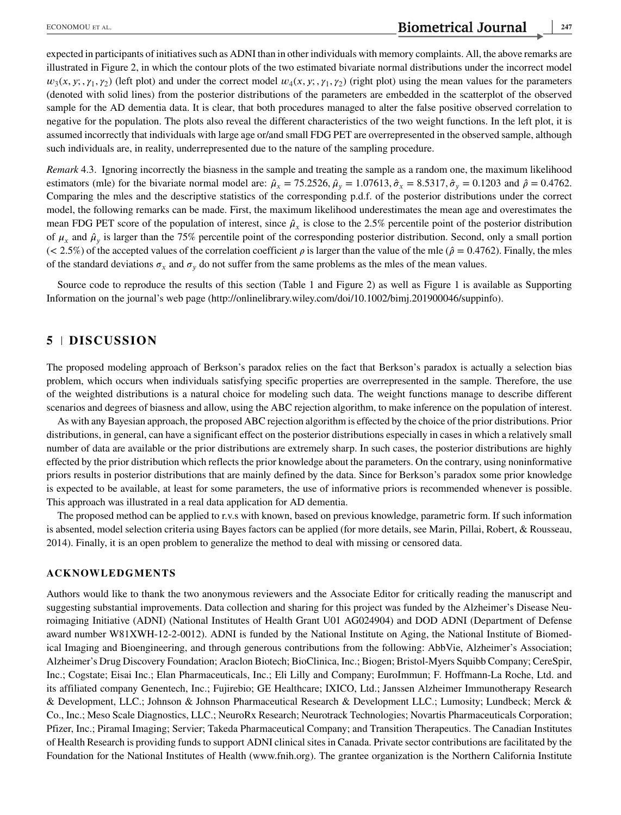expected in participants of initiatives such as ADNI than in other individuals with memory complaints. All, the above remarks are illustrated in Figure 2, in which the contour plots of the two estimated bivariate normal distributions under the incorrect model  $w_3(x, y; \gamma_1, \gamma_2)$  (left plot) and under the correct model  $w_4(x, y; \gamma_1, \gamma_2)$  (right plot) using the mean values for the parameters (denoted with solid lines) from the posterior distributions of the parameters are embedded in the scatterplot of the observed sample for the AD dementia data. It is clear, that both procedures managed to alter the false positive observed correlation to negative for the population. The plots also reveal the different characteristics of the two weight functions. In the left plot, it is assumed incorrectly that individuals with large age or/and small FDG PET are overrepresented in the observed sample, although such individuals are, in reality, underrepresented due to the nature of the sampling procedure.

*Remark* 4.3. Ignoring incorrectly the biasness in the sample and treating the sample as a random one, the maximum likelihood estimators (mle) for the bivariate normal model are:  $\hat{\mu}_x = 75.2526$ ,  $\hat{\mu}_y = 1.07613$ ,  $\hat{\sigma}_x = 8.5317$ ,  $\hat{\sigma}_y = 0.1203$  and  $\hat{\rho} = 0.4762$ . Comparing the mles and the descriptive statistics of the corresponding p.d.f. of the posterior distributions under the correct model, the following remarks can be made. First, the maximum likelihood underestimates the mean age and overestimates the mean FDG PET score of the population of interest, since  $\hat{\mu}_x$  is close to the 2.5% percentile point of the posterior distribution of  $\mu_x$  and  $\hat{\mu}_y$  is larger than the 75% percentile point of the corresponding posterior distribution. Second, only a small portion ( $\lt$  2.5%) of the accepted values of the correlation coefficient  $\rho$  is larger than the value of the mle ( $\hat{\rho} = 0.4762$ ). Finally, the mles of the standard deviations  $\sigma_x$  and  $\sigma_y$  do not suffer from the same problems as the mles of the mean values.

Source code to reproduce the results of this section (Table 1 and Figure 2) as well as Figure 1 is available as Supporting Information on the journal's web page [\(http://onlinelibrary.wiley.com/doi/10.1002/bimj.201900046/suppinfo\)](http://onlinelibrary.wiley.com/doi/10.1002/bimj.201900046/suppinfo).

# **5 DISCUSSION**

The proposed modeling approach of Berkson's paradox relies on the fact that Berkson's paradox is actually a selection bias problem, which occurs when individuals satisfying specific properties are overrepresented in the sample. Therefore, the use of the weighted distributions is a natural choice for modeling such data. The weight functions manage to describe different scenarios and degrees of biasness and allow, using the ABC rejection algorithm, to make inference on the population of interest.

As with any Bayesian approach, the proposed ABC rejection algorithm is effected by the choice of the prior distributions. Prior distributions, in general, can have a significant effect on the posterior distributions especially in cases in which a relatively small number of data are available or the prior distributions are extremely sharp. In such cases, the posterior distributions are highly effected by the prior distribution which reflects the prior knowledge about the parameters. On the contrary, using noninformative priors results in posterior distributions that are mainly defined by the data. Since for Berkson's paradox some prior knowledge is expected to be available, at least for some parameters, the use of informative priors is recommended whenever is possible. This approach was illustrated in a real data application for AD dementia.

The proposed method can be applied to r.v.s with known, based on previous knowledge, parametric form. If such information is absented, model selection criteria using Bayes factors can be applied (for more details, see Marin, Pillai, Robert, & Rousseau, 2014). Finally, it is an open problem to generalize the method to deal with missing or censored data.

#### **ACKNOWLEDGMENTS**

Authors would like to thank the two anonymous reviewers and the Associate Editor for critically reading the manuscript and suggesting substantial improvements. Data collection and sharing for this project was funded by the Alzheimer's Disease Neuroimaging Initiative (ADNI) (National Institutes of Health Grant U01 AG024904) and DOD ADNI (Department of Defense award number W81XWH-12-2-0012). ADNI is funded by the National Institute on Aging, the National Institute of Biomedical Imaging and Bioengineering, and through generous contributions from the following: AbbVie, Alzheimer's Association; Alzheimer's Drug Discovery Foundation; Araclon Biotech; BioClinica, Inc.; Biogen; Bristol-Myers Squibb Company; CereSpir, Inc.; Cogstate; Eisai Inc.; Elan Pharmaceuticals, Inc.; Eli Lilly and Company; EuroImmun; F. Hoffmann-La Roche, Ltd. and its affiliated company Genentech, Inc.; Fujirebio; GE Healthcare; IXICO, Ltd.; Janssen Alzheimer Immunotherapy Research & Development, LLC.; Johnson & Johnson Pharmaceutical Research & Development LLC.; Lumosity; Lundbeck; Merck & Co., Inc.; Meso Scale Diagnostics, LLC.; NeuroRx Research; Neurotrack Technologies; Novartis Pharmaceuticals Corporation; Pfizer, Inc.; Piramal Imaging; Servier; Takeda Pharmaceutical Company; and Transition Therapeutics. The Canadian Institutes of Health Research is providing funds to support ADNI clinical sites in Canada. Private sector contributions are facilitated by the Foundation for the National Institutes of Health [\(www.fnih.org\)](file:www.fnih.org). The grantee organization is the Northern California Institute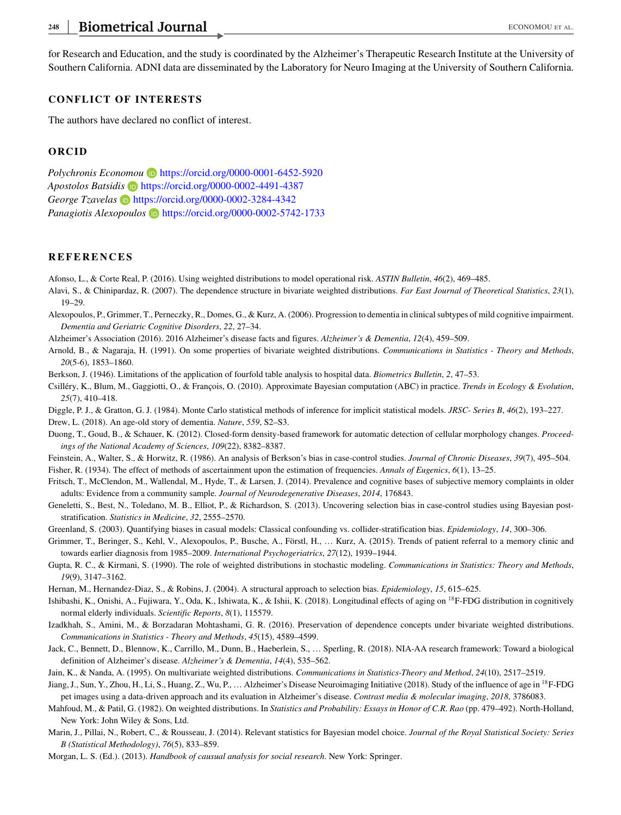# 248 Biometrical Journal **ECONOMOU ET AL. ECONOMOU ET AL.**

for Research and Education, and the study is coordinated by the Alzheimer's Therapeutic Research Institute at the University of Southern California. ADNI data are disseminated by the Laboratory for Neuro Imaging at the University of Southern California.

#### **CONFLICT OF INTERESTS**

The authors have declared no conflict of interest.

#### **ORCID**

*Polychronis Economou* **D** <https://orcid.org/0000-0001-6452-5920> *Apostolos Batsidis* <https://orcid.org/0000-0002-4491-4387> *George Tzavelas* <https://orcid.org/0000-0002-3284-4342> *Panagiotis Alexopoulos* **b** <https://orcid.org/0000-0002-5742-1733>

#### **REFERENCES**

Afonso, L., & Corte Real, P. (2016). Using weighted distributions to model operational risk. *ASTIN Bulletin*, *46*(2), 469–485.

- Alavi, S., & Chinipardaz, R. (2007). The dependence structure in bivariate weighted distributions. *Far East Journal of Theoretical Statistics*, *23*(1), 19–29.
- Alexopoulos, P., Grimmer, T., Perneczky, R., Domes, G., & Kurz, A. (2006). Progression to dementia in clinical subtypes of mild cognitive impairment. *Dementia and Geriatric Cognitive Disorders*, *22*, 27–34.
- Alzheimer's Association (2016). 2016 Alzheimer's disease facts and figures. *Alzheimer's & Dementia*, *12*(4), 459–509.
- Arnold, B., & Nagaraja, H. (1991). On some properties of bivariate weighted distributions. *Communications in Statistics Theory and Methods*, *20*(5-6), 1853–1860.
- Berkson, J. (1946). Limitations of the application of fourfold table analysis to hospital data. *Biometrics Bulletin*, *2*, 47–53.
- Csilléry, K., Blum, M., Gaggiotti, O., & François, O. (2010). Approximate Bayesian computation (ABC) in practice. *Trends in Ecology & Evolution*, *25*(7), 410–418.
- Diggle, P. J., & Gratton, G. J. (1984). Monte Carlo statistical methods of inference for implicit statistical models. *JRSC- Series B*, *46*(2), 193–227.

Drew, L. (2018). An age-old story of dementia. *Nature*, *559*, S2–S3.

- Duong, T., Goud, B., & Schauer, K. (2012). Closed-form density-based framework for automatic detection of cellular morphology changes. *Proceedings of the National Academy of Sciences*, *109*(22), 8382–8387.
- Feinstein, A., Walter, S., & Horwitz, R. (1986). An analysis of Berkson's bias in case-control studies. *Journal of Chronic Diseases*, *39*(7), 495–504.
- Fisher, R. (1934). The effect of methods of ascertainment upon the estimation of frequencies. *Annals of Eugenics*, *6*(1), 13–25.
- Fritsch, T., McClendon, M., Wallendal, M., Hyde, T., & Larsen, J. (2014). Prevalence and cognitive bases of subjective memory complaints in older adults: Evidence from a community sample. *Journal of Neurodegenerative Diseases*, *2014*, 176843.
- Geneletti, S., Best, N., Toledano, M. B., Elliot, P., & Richardson, S. (2013). Uncovering selection bias in case-control studies using Bayesian poststratification. *Statistics in Medicine*, *32*, 2555–2570.
- Greenland, S. (2003). Quantifying biases in casual models: Classical confounding vs. collider-stratification bias. *Epidemiology*, *14*, 300–306.
- Grimmer, T., Beringer, S., Kehl, V., Alexopoulos, P., Busche, A., Förstl, H., … Kurz, A. (2015). Trends of patient referral to a memory clinic and towards earlier diagnosis from 1985–2009. *International Psychogeriatrics*, *27*(12), 1939–1944.
- Gupta, R. C., & Kirmani, S. (1990). The role of weighted distributions in stochastic modeling. *Communications in Statistics: Theory and Methods*, *19*(9), 3147–3162.
- Hernan, M., Hernandez-Diaz, S., & Robins, J. (2004). A structural approach to selection bias. *Epidemiology*, *15*, 615–625.
- Ishibashi, K., Onishi, A., Fujiwara, Y., Oda, K., Ishiwata, K., & Ishii, K. (2018). Longitudinal effects of aging on <sup>18</sup>F-FDG distribution in cognitively normal elderly individuals. *Scientific Reports*, *8*(1), 115579.
- Izadkhah, S., Amini, M., & Borzadaran Mohtashami, G. R. (2016). Preservation of dependence concepts under bivariate weighted distributions. *Communications in Statistics - Theory and Methods*, *45*(15), 4589–4599.
- Jack, C., Bennett, D., Blennow, K., Carrillo, M., Dunn, B., Haeberlein, S., … Sperling, R. (2018). NIA-AA research framework: Toward a biological definition of Alzheimer's disease. *Alzheimer's & Dementia*, *14*(4), 535–562.
- Jain, K., & Nanda, A. (1995). On multivariate weighted distributions. *Communications in Statistics-Theory and Method*, *24*(10), 2517–2519.
- Jiang, J., Sun, Y., Zhou, H., Li, S., Huang, Z., Wu, P., ... Alzheimer's Disease Neuroimaging Initiative (2018). Study of the influence of age in <sup>18</sup>F-FDG pet images using a data-driven approach and its evaluation in Alzheimer's disease. *Contrast media & molecular imaging*, *2018*, 3786083.
- Mahfoud, M., & Patil, G. (1982). On weighted distributions. In *Statistics and Probability: Essays in Honor of C.R. Rao* (pp. 479–492). North-Holland, New York: John Wiley & Sons, Ltd.
- Marin, J., Pillai, N., Robert, C., & Rousseau, J. (2014). Relevant statistics for Bayesian model choice. *Journal of the Royal Statistical Society: Series B (Statistical Methodology)*, *76*(5), 833–859.

Morgan, L. S. (Ed.). (2013). *Handbook of causual analysis for social research*. New York: Springer.